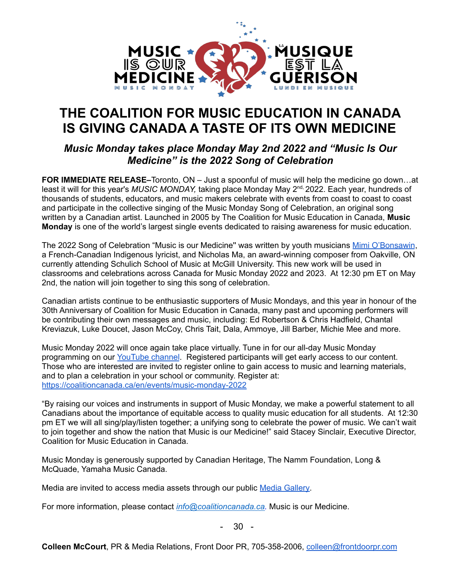

## **THE COALITION FOR MUSIC EDUCATION IN CANADA IS GIVING CANADA A TASTE OF ITS OWN MEDICINE**

## *Music Monday takes place Monday May 2nd 2022 and "Music Is Our Medicine" is the 2022 Song of Celebration*

**FOR IMMEDIATE RELEASE–**Toronto, ON – Just a spoonful of music will help the medicine go down…at least it will for this year's *MUSIC MONDAY,* taking place Monday May 2<sup>nd,</sup> 2022. Each year, hundreds of thousands of students, educators, and music makers celebrate with events from coast to coast to coast and participate in the collective singing of the Music Monday Song of Celebration, an original song written by a Canadian artist. Launched in 2005 by The Coalition for Music Education in Canada, **Music Monday** is one of the world's largest single events dedicated to raising awareness for music education.

The 2022 Song of Celebration "Music is our Medicine" was written by youth musicians Mimi [O'Bonsawin](https://www.dropbox.com/sh/hf3b888j0x489fr/AAA5pNJJReI2xGKmI1soCjqva?dl=0), a French-Canadian Indigenous lyricist, and Nicholas Ma, an award-winning composer from Oakville, ON currently attending Schulich School of Music at McGill University. This new work will be used in classrooms and celebrations across Canada for Music Monday 2022 and 2023. At 12:30 pm ET on May 2nd, the nation will join together to sing this song of celebration.

Canadian artists continue to be enthusiastic supporters of Music Mondays, and this year in honour of the 30th Anniversary of Coalition for Music Education in Canada, many past and upcoming performers will be contributing their own messages and music, including: Ed Robertson & Chris Hadfield, Chantal Kreviazuk, Luke Doucet, Jason McCoy, Chris Tait, Dala, Ammoye, Jill Barber, Michie Mee and more.

Music Monday 2022 will once again take place virtually. Tune in for our all-day Music Monday programming on our [YouTube](https://www.youtube.com/channel/UCTjk-DsFWM6XNiq9HeUpLKA) channel. Registered participants will get early access to our content. Those who are interested are invited to register online to gain access to music and learning materials, and to plan a celebration in your school or community. Register at: <https://coalitioncanada.ca/en/events/music-monday-2022>

"By raising our voices and instruments in support of Music Monday, we make a powerful statement to all Canadians about the importance of equitable access to quality music education for all students. At 12:30 pm ET we will all sing/play/listen together; a unifying song to celebrate the power of music. We can't wait to join together and show the nation that Music is our Medicine!" said Stacey Sinclair, Executive Director, Coalition for Music Education in Canada.

Music Monday is generously supported by Canadian Heritage, The Namm Foundation, Long & McQuade, Yamaha Music Canada.

Media are invited to access media assets through our public Media [Gallery.](https://drive.google.com/drive/folders/1TRZBRrhtCKkn6aYGbxgGg6YIm5MRLJb4)

For more information, please contact *[info@coalitioncanada.ca.](mailto:info@coalitioncanada.ca)* Music is our Medicine.

- 30 -

**Colleen McCourt**, PR & Media Relations, Front Door PR, 705-358-2006, [colleen@frontdoorpr.com](mailto:colleen@frontdoorpr.com)